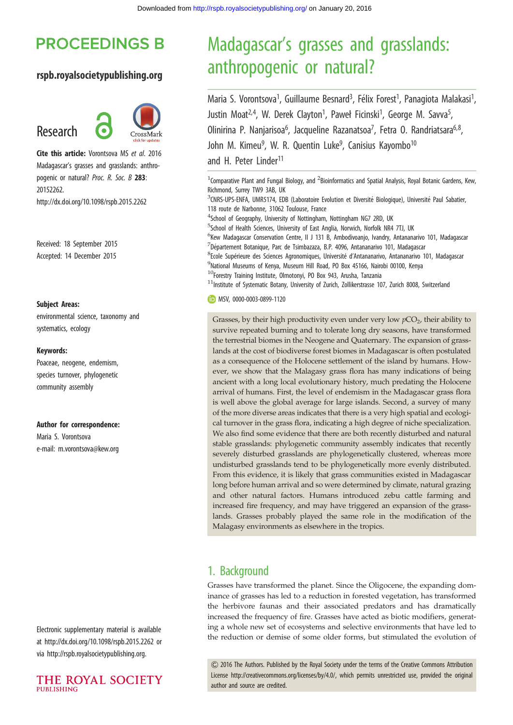# **PROCEEDINGS B**

## rspb.royalsocietypublishing.org



Cite this article: Vorontsova MS et al. 2016 Madagascar's grasses and grasslands: anthropogenic or natural? Proc. R. Soc. B 283: 20152262. http://dx.doi.org/10.1098/rspb.2015.2262

Received: 18 September 2015 Accepted: 14 December 2015

#### Subject Areas:

Research

environmental science, taxonomy and systematics, ecology

#### Keywords:

Poaceae, neogene, endemism, species turnover, phylogenetic community assembly

#### Author for correspondence:

Maria S. Vorontsova e-mail: [m.vorontsova@kew.org](mailto:m.vorontsova@kew.org)

Electronic supplementary material is available at<http://dx.doi.org/10.1098/rspb.2015.2262> or via<http://rspb.royalsocietypublishing.org>.

THE ROYAL SOCIETY **PUBLISHING** 

# Madagascar's grasses and grasslands: anthropogenic or natural?

Maria S. Vorontsova<sup>1</sup>, Guillaume Besnard<sup>3</sup>, Félix Forest<sup>1</sup>, Panagiota Malakasi<sup>1</sup> , Justin Moat<sup>2,4</sup>, W. Derek Clayton<sup>1</sup>, Paweł Ficinski<sup>1</sup>, George M. Savva<sup>5</sup> .<br>, Olinirina P. Nanjarisoa<sup>6</sup>, Jacqueline Razanatsoa<sup>7</sup>, Fetra O. Randriatsara<sup>6,8</sup>, John M. Kimeu<sup>9</sup>, W. R. Quentin Luke<sup>9</sup>, Canisius Kayombo<sup>10</sup> and H. Peter Linder<sup>11</sup>

<sup>1</sup> Comparative Plant and Fungal Biology, and <sup>2</sup> Bioinformatics and Spatial Analysis, Royal Botanic Gardens, Kew, Richmond, Surrey TW9 3AB, UK

<sup>3</sup>CNRS-UPS-ENFA, UMR5174, EDB (Laboratoire Evolution et Diversité Biologique), Université Paul Sabatier, 118 route de Narbonne, 31062 Toulouse, France

<sup>4</sup>School of Geography, University of Nottingham, Nottingham NG7 2RD, UK

<sup>5</sup>School of Health Sciences, University of East Anglia, Norwich, Norfolk NR4 7TJ, UK

<sup>6</sup> Kew Madagascar Conservation Centre, II J 131 B, Ambodivoanjo, Ivandry, Antananarivo 101, Madagascar  $^7$ Département Botanique, Parc de Tsimbazaza, B.P. 4096, Antananarivo 101, Madagascaı

<sup>8</sup>Ecole Supérieure des Sciences Agronomiques, Université d'Antananarivo, Antananarivo 101, Madagascar 9 National Museums of Kenya, Museum Hill Road, PO Box 45166, Nairobi 00100, Kenya

 $10$ Forestry Training Institute, Olmotonyi, PO Box 943, Arusha, Tanzania

 $11$ Institute of Systematic Botany, University of Zurich, Zollikerstrasse 107, Zurich 8008, Switzerland

MSV, [0000-0003-0899-1120](http://orcid.org/0000-0003-0899-1120)

Grasses, by their high productivity even under very low  $pCO<sub>2</sub>$ , their ability to survive repeated burning and to tolerate long dry seasons, have transformed the terrestrial biomes in the Neogene and Quaternary. The expansion of grasslands at the cost of biodiverse forest biomes in Madagascar is often postulated as a consequence of the Holocene settlement of the island by humans. However, we show that the Malagasy grass flora has many indications of being ancient with a long local evolutionary history, much predating the Holocene arrival of humans. First, the level of endemism in the Madagascar grass flora is well above the global average for large islands. Second, a survey of many of the more diverse areas indicates that there is a very high spatial and ecological turnover in the grass flora, indicating a high degree of niche specialization. We also find some evidence that there are both recently disturbed and natural stable grasslands: phylogenetic community assembly indicates that recently severely disturbed grasslands are phylogenetically clustered, whereas more undisturbed grasslands tend to be phylogenetically more evenly distributed. From this evidence, it is likely that grass communities existed in Madagascar long before human arrival and so were determined by climate, natural grazing and other natural factors. Humans introduced zebu cattle farming and increased fire frequency, and may have triggered an expansion of the grasslands. Grasses probably played the same role in the modification of the Malagasy environments as elsewhere in the tropics.

## 1. Background

Grasses have transformed the planet. Since the Oligocene, the expanding dominance of grasses has led to a reduction in forested vegetation, has transformed the herbivore faunas and their associated predators and has dramatically increased the frequency of fire. Grasses have acted as biotic modifiers, generating a whole new set of ecosystems and selective environments that have led to the reduction or demise of some older forms, but stimulated the evolution of

& 2016 The Authors. Published by the Royal Society under the terms of the Creative Commons Attribution License [http://creativecommons.org/licenses/by/4.0/, which permits unrestricted use, provided the original](http://creativecommons.org/licenses/by/4.0/) [author and source are credited.](http://creativecommons.org/licenses/by/4.0/)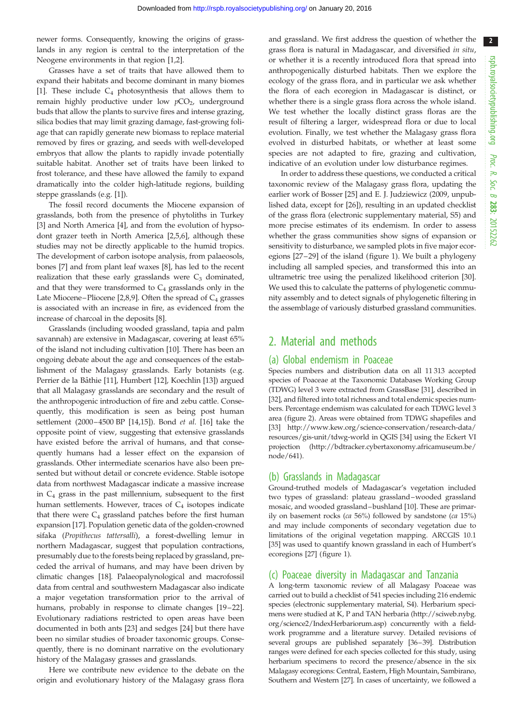2

newer forms. Consequently, knowing the origins of grasslands in any region is central to the interpretation of the Neogene environments in that region [[1,2\]](#page-6-0).

Grasses have a set of traits that have allowed them to expand their habitats and become dominant in many biomes [\[1\]](#page-6-0). These include  $C_4$  photosynthesis that allows them to remain highly productive under low  $pCO<sub>2</sub>$ , underground buds that allow the plants to survive fires and intense grazing, silica bodies that may limit grazing damage, fast-growing foliage that can rapidly generate new biomass to replace material removed by fires or grazing, and seeds with well-developed embryos that allow the plants to rapidly invade potentially suitable habitat. Another set of traits have been linked to frost tolerance, and these have allowed the family to expand dramatically into the colder high-latitude regions, building steppe grasslands (e.g. [[1](#page-6-0)]).

The fossil record documents the Miocene expansion of grasslands, both from the presence of phytoliths in Turkey [\[3\]](#page-6-0) and North America [\[4](#page-6-0)], and from the evolution of hypsodont grazer teeth in North America [\[2](#page-6-0),[5,6\]](#page-6-0), although these studies may not be directly applicable to the humid tropics. The development of carbon isotope analysis, from palaeosols, bones [\[7\]](#page-6-0) and from plant leaf waxes [[8](#page-6-0)], has led to the recent realization that these early grasslands were  $C_3$  dominated, and that they were transformed to  $C_4$  grasslands only in the Late Miocene–Pliocene [\[2,8,9\]](#page-6-0). Often the spread of  $C_4$  grasses is associated with an increase in fire, as evidenced from the increase of charcoal in the deposits [[8](#page-6-0)].

Grasslands (including wooded grassland, tapia and palm savannah) are extensive in Madagascar, covering at least 65% of the island not including cultivation [[10\]](#page-6-0). There has been an ongoing debate about the age and consequences of the establishment of the Malagasy grasslands. Early botanists (e.g. Perrier de la Bâthie [\[11](#page-6-0)], Humbert [[12\]](#page-6-0), Koechlin [\[13](#page-6-0)]) argued that all Malagasy grasslands are secondary and the result of the anthropogenic introduction of fire and zebu cattle. Consequently, this modification is seen as being post human settlement (2000–4500 BP [\[14,15](#page-6-0)]). Bond et al. [[16\]](#page-6-0) take the opposite point of view, suggesting that extensive grasslands have existed before the arrival of humans, and that consequently humans had a lesser effect on the expansion of grasslands. Other intermediate scenarios have also been presented but without detail or concrete evidence. Stable isotope data from northwest Madagascar indicate a massive increase in  $C_4$  grass in the past millennium, subsequent to the first human settlements. However, traces of  $C_4$  isotopes indicate that there were  $C_4$  grassland patches before the first human expansion [[17\]](#page-6-0). Population genetic data of the golden-crowned sifaka (Propithecus tattersalli), a forest-dwelling lemur in northern Madagascar, suggest that population contractions, presumably due to the forests being replaced by grassland, preceded the arrival of humans, and may have been driven by climatic changes [\[18](#page-6-0)]. Palaeopalynological and macrofossil data from central and southwestern Madagascar also indicate a major vegetation transformation prior to the arrival of humans, probably in response to climate changes [\[19](#page-6-0)–[22](#page-6-0)]. Evolutionary radiations restricted to open areas have been documented in both ants [\[23](#page-6-0)] and sedges [[24\]](#page-6-0) but there have been no similar studies of broader taxonomic groups. Consequently, there is no dominant narrative on the evolutionary history of the Malagasy grasses and grasslands.

Here we contribute new evidence to the debate on the origin and evolutionary history of the Malagasy grass flora and grassland. We first address the question of whether the grass flora is natural in Madagascar, and diversified in situ, or whether it is a recently introduced flora that spread into anthropogenically disturbed habitats. Then we explore the ecology of the grass flora, and in particular we ask whether the flora of each ecoregion in Madagascar is distinct, or whether there is a single grass flora across the whole island. We test whether the locally distinct grass floras are the result of filtering a larger, widespread flora or due to local evolution. Finally, we test whether the Malagasy grass flora evolved in disturbed habitats, or whether at least some species are not adapted to fire, grazing and cultivation, indicative of an evolution under low disturbance regimes.

In order to address these questions, we conducted a critical taxonomic review of the Malagasy grass flora, updating the earlier work of Bosser [\[25](#page-6-0)] and E. J. Judziewicz (2009, unpublished data, except for [\[26](#page-6-0)]), resulting in an updated checklist of the grass flora (electronic supplementary material, S5) and more precise estimates of its endemism. In order to assess whether the grass communities show signs of expansion or sensitivity to disturbance, we sampled plots in five major ecoregions [[27](#page-6-0)–[29\]](#page-6-0) of the island ([figure 1\)](#page-2-0). We built a phylogeny including all sampled species, and transformed this into an ultrametric tree using the penalized likelihood criterion [[30\]](#page-6-0). We used this to calculate the patterns of phylogenetic community assembly and to detect signals of phylogenetic filtering in the assemblage of variously disturbed grassland communities.

## 2. Material and methods

### (a) Global endemism in Poaceae

Species numbers and distribution data on all 11 313 accepted species of Poaceae at the Taxonomic Databases Working Group (TDWG) level 3 were extracted from GrassBase [[31](#page-6-0)], described in [[32](#page-6-0)], and filtered into total richness and total endemic species numbers. Percentage endemism was calculated for each TDWG level 3 area ([figure 2](#page-2-0)). Areas were obtained from TDWG shapefiles and [[33](#page-7-0)] [http://www.kew.org/science-conservation/research-data/](http://www.kew.org/science-conservation/research-data/resources/gis-unit/tdwg-world) [resources/gis-unit/tdwg-world](http://www.kew.org/science-conservation/research-data/resources/gis-unit/tdwg-world) in QGIS [[34](#page-7-0)] using the Eckert VI projection ([http://bdtracker.cybertaxonomy.africamuseum.be/](http://bdtracker.cybertaxonomy.africamuseum.be/node/641) [node/641\)](http://bdtracker.cybertaxonomy.africamuseum.be/node/641).

## (b) Grasslands in Madagascar

Ground-truthed models of Madagascar's vegetation included two types of grassland: plateau grassland –wooded grassland mosaic, and wooded grassland–bushland [\[10\]](#page-6-0). These are primarily on basement rocks (ca 56%) followed by sandstone (ca 15%) and may include components of secondary vegetation due to limitations of the original vegetation mapping. ARCGIS 10.1 [[35](#page-7-0)] was used to quantify known grassland in each of Humbert's ecoregions [[27](#page-6-0)] ([figure 1](#page-2-0)).

## (c) Poaceae diversity in Madagascar and Tanzania

A long-term taxonomic review of all Malagasy Poaceae was carried out to build a checklist of 541 species including 216 endemic species (electronic supplementary material, S4). Herbarium specimens were studied at K, P and TAN herbaria ([http://sciweb.nybg.](http://sciweb.nybg.org/science2/IndexHerbariorum.asp) [org/science2/IndexHerbariorum.asp](http://sciweb.nybg.org/science2/IndexHerbariorum.asp)) concurrently with a fieldwork programme and a literature survey. Detailed revisions of several groups are published separately [[36](#page-7-0)–[39\]](#page-7-0). Distribution ranges were defined for each species collected for this study, using herbarium specimens to record the presence/absence in the six Malagasy ecoregions: Central, Eastern, High Mountain, Sambirano, Southern and Western [[27\]](#page-6-0). In cases of uncertainty, we followed a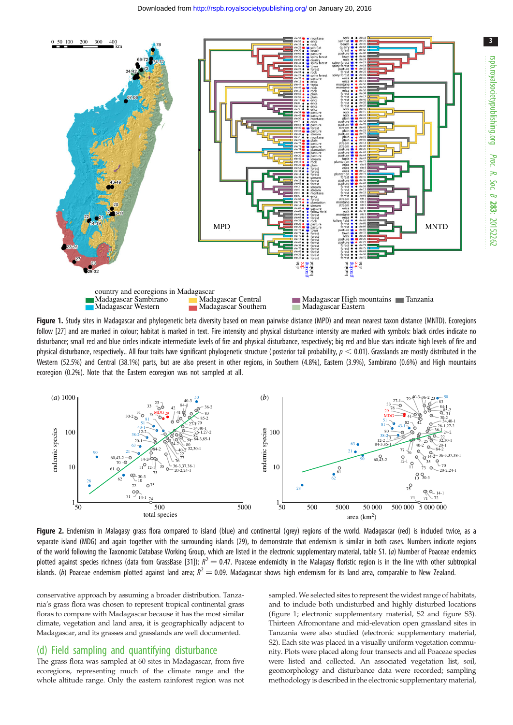<span id="page-2-0"></span>

Figure 1. Study sites in Madagascar and phylogenetic beta diversity based on mean pairwise distance (MPD) and mean nearest taxon distance (MNTD). Ecoregions follow [[27](#page-6-0)] and are marked in colour; habitat is marked in text. Fire intensity and physical disturbance intensity are marked with symbols: black circles indicate no disturbance; small red and blue circles indicate intermediate levels of fire and physical disturbance, respectively; big red and blue stars indicate high levels of fire and physical disturbance, respectively.. All four traits have significant phylogenetic structure (posterior tail probability,  $p < 0.01$ ). Grasslands are mostly distributed in the Western (52.5%) and Central (38.1%) parts, but are also present in other regions, in Southern (4.8%), Eastern (3.9%), Sambirano (0.6%) and High mountains ecoregion (0.2%). Note that the Eastern ecoregion was not sampled at all.



Figure 2. Endemism in Malagasy grass flora compared to island (blue) and continental (grey) regions of the world. Madagascar (red) is included twice, as a separate island (MDG) and again together with the surrounding islands ([29](#page-6-0)), to demonstrate that endemism is similar in both cases. Numbers indicate regions of the world following the Taxonomic Database Working Group, which are listed in the electronic supplementary material, table S1. (a) Number of Poaceae endemics plotted against species richness (data from GrassBase [[31](#page-6-0)]);  $R^2 = 0.47$ . Poaceae endemicity in the Malagasy floristic region is in the line with other subtropical islands. (b) Poaceae endemism plotted against land area;  $R^2 = 0.09$ . Madagascar shows high endemism for its land area, comparable to New Zealand.

conservative approach by assuming a broader distribution. Tanzania's grass flora was chosen to represent tropical continental grass floras to compare with Madagascar because it has the most similar climate, vegetation and land area, it is geographically adjacent to Madagascar, and its grasses and grasslands are well documented.

#### (d) Field sampling and quantifying disturbance

The grass flora was sampled at 60 sites in Madagascar, from five ecoregions, representing much of the climate range and the whole altitude range. Only the eastern rainforest region was not sampled. We selected sites to represent the widest range of habitats, and to include both undisturbed and highly disturbed locations (figure 1; electronic supplementary material, S2 and figure S3). Thirteen Afromontane and mid-elevation open grassland sites in Tanzania were also studied (electronic supplementary material, S2). Each site was placed in a visually uniform vegetation community. Plots were placed along four transects and all Poaceae species were listed and collected. An associated vegetation list, soil, geomorphology and disturbance data were recorded; sampling methodology is described in the electronic supplementary material, 3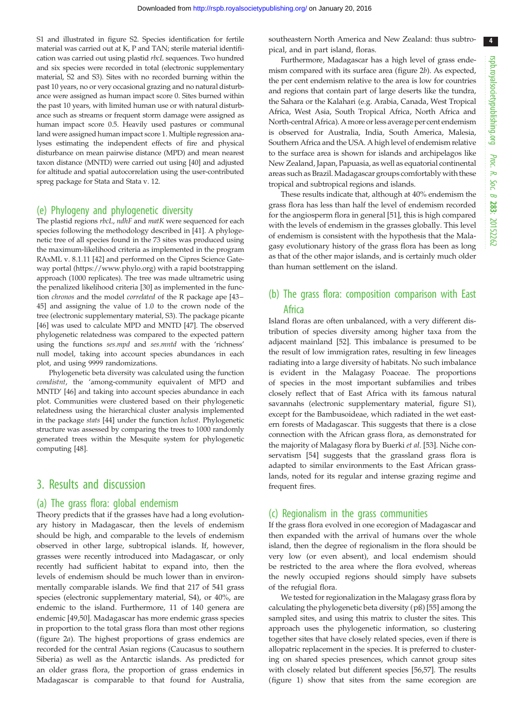S1 and illustrated in figure S2. Species identification for fertile material was carried out at K, P and TAN; sterile material identification was carried out using plastid rbcL sequences. Two hundred and six species were recorded in total (electronic supplementary material, S2 and S3). Sites with no recorded burning within the past 10 years, no or very occasional grazing and no natural disturbance were assigned as human impact score 0. Sites burned within the past 10 years, with limited human use or with natural disturbance such as streams or frequent storm damage were assigned as human impact score 0.5. Heavily used pastures or communal land were assigned human impact score 1. Multiple regression analyses estimating the independent effects of fire and physical disturbance on mean pairwise distance (MPD) and mean nearest taxon distance (MNTD) were carried out using [[40](#page-7-0)] and adjusted for altitude and spatial autocorrelation using the user-contributed spreg package for Stata and Stata v. 12.

#### (e) Phylogeny and phylogenetic diversity

The plastid regions rbcL, ndhF and matK were sequenced for each species following the methodology described in [[41](#page-7-0)]. A phylogenetic tree of all species found in the 73 sites was produced using the maximum-likelihood criteria as implemented in the program RAxML v. 8.1.11 [\[42\]](#page-7-0) and performed on the Cipres Science Gateway portal ([https://www.phylo.org\)](https://www.phylo.org) with a rapid bootstrapping approach (1000 replicates). The tree was made ultrametric using the penalized likelihood criteria [[30](#page-6-0)] as implemented in the func-tion chronos and the model correlated of the R package ape [[43](#page-7-0)-[45](#page-7-0)] and assigning the value of 1.0 to the crown node of the tree (electronic supplementary material, S3). The package picante [\[46\]](#page-7-0) was used to calculate MPD and MNTD [\[47\]](#page-7-0). The observed phylogenetic relatedness was compared to the expected pattern using the functions ses.mpd and ses.mntd with the 'richness' null model, taking into account species abundances in each plot, and using 9999 randomizations.

Phylogenetic beta diversity was calculated using the function comdistnt, the 'among-community equivalent of MPD and MNTD' [\[46\]](#page-7-0) and taking into account species abundance in each plot. Communities were clustered based on their phylogenetic relatedness using the hierarchical cluster analysis implemented in the package stats [[44](#page-7-0)] under the function hclust. Phylogenetic structure was assessed by comparing the trees to 1000 randomly generated trees within the Mesquite system for phylogenetic computing [[48](#page-7-0)].

## 3. Results and discussion

## (a) The grass flora: global endemism

Theory predicts that if the grasses have had a long evolutionary history in Madagascar, then the levels of endemism should be high, and comparable to the levels of endemism observed in other large, subtropical islands. If, however, grasses were recently introduced into Madagascar, or only recently had sufficient habitat to expand into, then the levels of endemism should be much lower than in environmentally comparable islands. We find that 217 of 541 grass species (electronic supplementary material, S4), or 40%, are endemic to the island. Furthermore, 11 of 140 genera are endemic [\[49,50](#page-7-0)]. Madagascar has more endemic grass species in proportion to the total grass flora than most other regions [\(figure 2](#page-2-0)a). The highest proportions of grass endemics are recorded for the central Asian regions (Caucasus to southern Siberia) as well as the Antarctic islands. As predicted for an older grass flora, the proportion of grass endemics in Madagascar is comparable to that found for Australia,

southeastern North America and New Zealand: thus subtropical, and in part island, floras.

Furthermore, Madagascar has a high level of grass endemism compared with its surface area [\(figure 2](#page-2-0)b). As expected, the per cent endemism relative to the area is low for countries and regions that contain part of large deserts like the tundra, the Sahara or the Kalahari (e.g. Arabia, Canada, West Tropical Africa, West Asia, South Tropical Africa, North Africa and North-central Africa). A more or less average per cent endemism is observed for Australia, India, South America, Malesia, Southern Africa and the USA. A high level of endemism relative to the surface area is shown for islands and archipelagos like New Zealand, Japan, Papuasia, as well as equatorial continental areas such as Brazil. Madagascar groups comfortably with these tropical and subtropical regions and islands.

These results indicate that, although at 40% endemism the grass flora has less than half the level of endemism recorded for the angiosperm flora in general [\[51](#page-7-0)], this is high compared with the levels of endemism in the grasses globally. This level of endemism is consistent with the hypothesis that the Malagasy evolutionary history of the grass flora has been as long as that of the other major islands, and is certainly much older than human settlement on the island.

## (b) The grass flora: composition comparison with East Africa

Island floras are often unbalanced, with a very different distribution of species diversity among higher taxa from the adjacent mainland [\[52](#page-7-0)]. This imbalance is presumed to be the result of low immigration rates, resulting in few lineages radiating into a large diversity of habitats. No such imbalance is evident in the Malagasy Poaceae. The proportions of species in the most important subfamilies and tribes closely reflect that of East Africa with its famous natural savannahs (electronic supplementary material, figure S1), except for the Bambusoideae, which radiated in the wet eastern forests of Madagascar. This suggests that there is a close connection with the African grass flora, as demonstrated for the majority of Malagasy flora by Buerki et al. [\[53](#page-7-0)]. Niche conservatism [\[54](#page-7-0)] suggests that the grassland grass flora is adapted to similar environments to the East African grasslands, noted for its regular and intense grazing regime and frequent fires.

### (c) Regionalism in the grass communities

If the grass flora evolved in one ecoregion of Madagascar and then expanded with the arrival of humans over the whole island, then the degree of regionalism in the flora should be very low (or even absent), and local endemism should be restricted to the area where the flora evolved, whereas the newly occupied regions should simply have subsets of the refugial flora.

We tested for regionalization in the Malagasy grass flora by calculating the phylogenetic beta diversity (pß) [\[55\]](#page-7-0) among the sampled sites, and using this matrix to cluster the sites. This approach uses the phylogenetic information, so clustering together sites that have closely related species, even if there is allopatric replacement in the species. It is preferred to clustering on shared species presences, which cannot group sites with closely related but different species [\[56](#page-7-0),[57](#page-7-0)]. The results ([figure 1\)](#page-2-0) show that sites from the same ecoregion are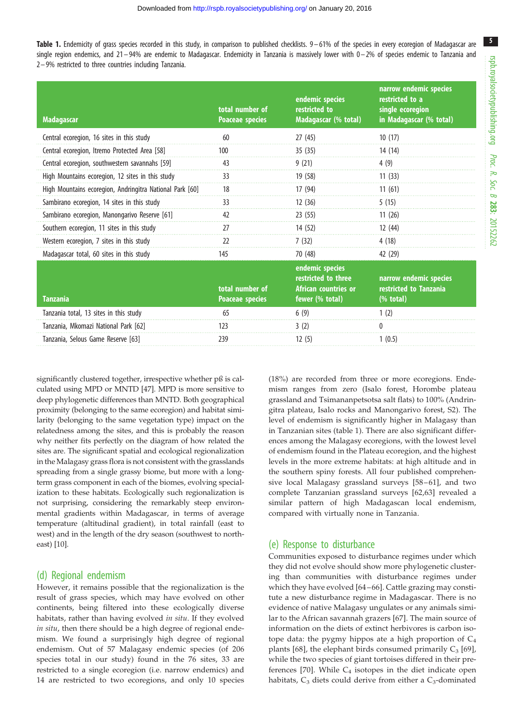5

Table 1. Endemicity of grass species recorded in this study, in comparison to published checklists. 9-61% of the species in every ecoregion of Madagascar are single region endemics, and 21-94% are endemic to Madagascar. Endemicity in Tanzania is massively lower with 0-2% of species endemic to Tanzania and 2 – 9% restricted to three countries including Tanzania.

| <b>Madagascar</b>                                        | total number of<br><b>Poaceae species</b> | endemic species<br>restricted to<br>Madagascar (% total)                          | narrow endemic species<br>restricted to a<br>single ecoregion<br>in Madagascar (% total) |
|----------------------------------------------------------|-------------------------------------------|-----------------------------------------------------------------------------------|------------------------------------------------------------------------------------------|
| Central ecoregion, 16 sites in this study                | 60                                        | 27(45)                                                                            | 10(17)                                                                                   |
| Central ecoregion, Itremo Protected Area [58]            | 100                                       | 35(35)                                                                            | 14 (14)                                                                                  |
| Central ecoregion, southwestern savannahs [59]           | 43                                        | 9(21)                                                                             | 4 (9)                                                                                    |
| High Mountains ecoregion, 12 sites in this study         | 33                                        | 19 (58)                                                                           | 11(33)                                                                                   |
| High Mountains ecoregion, Andringitra National Park [60] | 18                                        | 17 (94)                                                                           | 11(61)                                                                                   |
| Sambirano ecoregion, 14 sites in this study              | 33                                        | 12(36)                                                                            | 5(15)                                                                                    |
| Sambirano ecoregion, Manongarivo Reserve [61]            | 42                                        | 23(55)                                                                            | 11(26)                                                                                   |
| Southern ecoregion, 11 sites in this study               | 27                                        | 14 (52)                                                                           | 12 (44)                                                                                  |
| Western ecoregion, 7 sites in this study                 | 22                                        | 7(32)                                                                             | 4 (18)                                                                                   |
| Madagascar total, 60 sites in this study                 | 145                                       | 70 (48)                                                                           | 42 (29)                                                                                  |
| <b>Tanzania</b>                                          | total number of<br><b>Poaceae species</b> | endemic species<br>restricted to three<br>African countries or<br>fewer (% total) | narrow endemic species<br>restricted to Tanzania<br>$(% \mathcal{L}_{0})$ (% total)      |
| Tanzania total, 13 sites in this study                   | 65                                        | 6(9)                                                                              | 1(2)                                                                                     |
| Tanzania, Mkomazi National Park [62]                     | 123                                       | 3(2)                                                                              |                                                                                          |
| Tanzania, Selous Game Reserve [63]                       | 239                                       | 12(5)                                                                             | 1(0.5)                                                                                   |

significantly clustered together, irrespective whether pß is calculated using MPD or MNTD [[47\]](#page-7-0). MPD is more sensitive to deep phylogenetic differences than MNTD. Both geographical proximity (belonging to the same ecoregion) and habitat similarity (belonging to the same vegetation type) impact on the relatedness among the sites, and this is probably the reason why neither fits perfectly on the diagram of how related the sites are. The significant spatial and ecological regionalization in the Malagasy grass flora is not consistent with the grasslands spreading from a single grassy biome, but more with a longterm grass component in each of the biomes, evolving specialization to these habitats. Ecologically such regionalization is not surprising, considering the remarkably steep environmental gradients within Madagascar, in terms of average temperature (altitudinal gradient), in total rainfall (east to west) and in the length of the dry season (southwest to northeast) [[10\]](#page-6-0).

## (d) Regional endemism

However, it remains possible that the regionalization is the result of grass species, which may have evolved on other continents, being filtered into these ecologically diverse habitats, rather than having evolved in situ. If they evolved in situ, then there should be a high degree of regional endemism. We found a surprisingly high degree of regional endemism. Out of 57 Malagasy endemic species (of 206 species total in our study) found in the 76 sites, 33 are restricted to a single ecoregion (i.e. narrow endemics) and 14 are restricted to two ecoregions, and only 10 species (18%) are recorded from three or more ecoregions. Endemism ranges from zero (Isalo forest, Horombe plateau grassland and Tsimananpetsotsa salt flats) to 100% (Andringitra plateau, Isalo rocks and Manongarivo forest, S2). The level of endemism is significantly higher in Malagasy than in Tanzanian sites (table 1). There are also significant differences among the Malagasy ecoregions, with the lowest level of endemism found in the Plateau ecoregion, and the highest levels in the more extreme habitats: at high altitude and in the southern spiny forests. All four published comprehen-sive local Malagasy grassland surveys [[58](#page-7-0)-61], and two complete Tanzanian grassland surveys [\[62](#page-7-0),[63\]](#page-7-0) revealed a similar pattern of high Madagascan local endemism, compared with virtually none in Tanzania.

## (e) Response to disturbance

Communities exposed to disturbance regimes under which they did not evolve should show more phylogenetic clustering than communities with disturbance regimes under which they have evolved [[64](#page-7-0)-66]. Cattle grazing may constitute a new disturbance regime in Madagascar. There is no evidence of native Malagasy ungulates or any animals similar to the African savannah grazers [[67](#page-7-0)]. The main source of information on the diets of extinct herbivores is carbon isotope data: the pygmy hippos ate a high proportion of  $C_4$ plants [[68\]](#page-7-0), the elephant birds consumed primarily  $C_3$  [\[69](#page-7-0)], while the two species of giant tortoises differed in their pre-ferences [\[70\]](#page-7-0). While  $C_4$  isotopes in the diet indicate open habitats,  $C_3$  diets could derive from either a  $C_3$ -dominated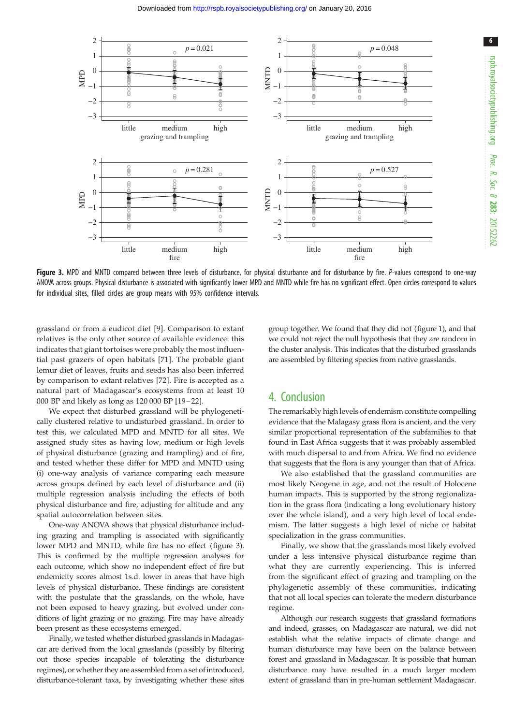

Figure 3. MPD and MNTD compared between three levels of disturbance, for physical disturbance and for disturbance by fire. P-values correspond to one-way ANOVA across groups. Physical disturbance is associated with significantly lower MPD and MNTD while fire has no significant effect. Open circles correspond to values for individual sites, filled circles are group means with 95% confidence intervals.

grassland or from a eudicot diet [[9](#page-6-0)]. Comparison to extant relatives is the only other source of available evidence: this indicates that giant tortoises were probably the most influential past grazers of open habitats [[71\]](#page-7-0). The probable giant lemur diet of leaves, fruits and seeds has also been inferred by comparison to extant relatives [\[72](#page-7-0)]. Fire is accepted as a natural part of Madagascar's ecosystems from at least 10 000 BP and likely as long as 120 000 BP [\[19](#page-6-0) – [22](#page-6-0)].

We expect that disturbed grassland will be phylogenetically clustered relative to undisturbed grassland. In order to test this, we calculated MPD and MNTD for all sites. We assigned study sites as having low, medium or high levels of physical disturbance (grazing and trampling) and of fire, and tested whether these differ for MPD and MNTD using (i) one-way analysis of variance comparing each measure across groups defined by each level of disturbance and (ii) multiple regression analysis including the effects of both physical disturbance and fire, adjusting for altitude and any spatial autocorrelation between sites.

One-way ANOVA shows that physical disturbance including grazing and trampling is associated with significantly lower MPD and MNTD, while fire has no effect (figure 3). This is confirmed by the multiple regression analyses for each outcome, which show no independent effect of fire but endemicity scores almost 1s.d. lower in areas that have high levels of physical disturbance. These findings are consistent with the postulate that the grasslands, on the whole, have not been exposed to heavy grazing, but evolved under conditions of light grazing or no grazing. Fire may have already been present as these ecosystems emerged.

Finally, we tested whether disturbed grasslands in Madagascar are derived from the local grasslands (possibly by filtering out those species incapable of tolerating the disturbance regimes), or whether they are assembled from a set of introduced, disturbance-tolerant taxa, by investigating whether these sites group together. We found that they did not ([figure 1](#page-2-0)), and that we could not reject the null hypothesis that they are random in the cluster analysis. This indicates that the disturbed grasslands are assembled by filtering species from native grasslands.

## 4. Conclusion

The remarkably high levels of endemism constitute compelling evidence that the Malagasy grass flora is ancient, and the very similar proportional representation of the subfamilies to that found in East Africa suggests that it was probably assembled with much dispersal to and from Africa. We find no evidence that suggests that the flora is any younger than that of Africa.

We also established that the grassland communities are most likely Neogene in age, and not the result of Holocene human impacts. This is supported by the strong regionalization in the grass flora (indicating a long evolutionary history over the whole island), and a very high level of local endemism. The latter suggests a high level of niche or habitat specialization in the grass communities.

Finally, we show that the grasslands most likely evolved under a less intensive physical disturbance regime than what they are currently experiencing. This is inferred from the significant effect of grazing and trampling on the phylogenetic assembly of these communities, indicating that not all local species can tolerate the modern disturbance regime.

Although our research suggests that grassland formations and indeed, grasses, on Madagascar are natural, we did not establish what the relative impacts of climate change and human disturbance may have been on the balance between forest and grassland in Madagascar. It is possible that human disturbance may have resulted in a much larger modern extent of grassland than in pre-human settlement Madagascar.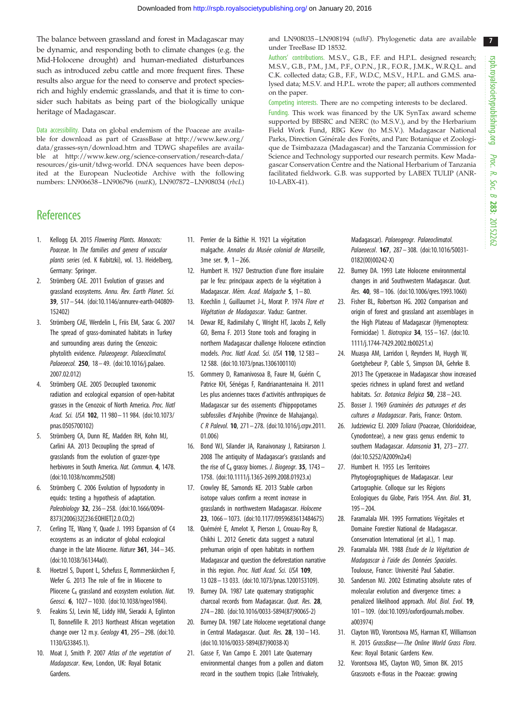<span id="page-6-0"></span>Data accessibility. Data on global endemism of the Poaceae are available for download as part of GrassBase at [http://www.kew.org/](http://www.kew.org/data/grasses-syn/download.htm) [data/grasses-syn/download.htm](http://www.kew.org/data/grasses-syn/download.htm) and TDWG shapefiles are available at [http://www.kew.org/science-conservation/research-data/](http://www.kew.org/science-conservation/research-data/resources/gis-unit/tdwg-world) [resources/gis-unit/tdwg-world](http://www.kew.org/science-conservation/research-data/resources/gis-unit/tdwg-world). DNA sequences have been deposited at the European Nucleotide Archive with the following numbers: LN906638–LN906796 (matK), LN907872 –LN908034 (rbcL)

## **References**

- 1. Kellogg EA. 2015 Flowering Plants. Monocots: Poaceae. In The families and genera of vascular plants series (ed. K Kubitzki), vol. 13. Heidelberg, Germany: Springer.
- 2. Strömberg CAE. 2011 Evolution of grasses and grassland ecosystems. Annu. Rev. Earth Planet. Sci. 39, 517– 544. ([doi:10.1146/annurev-earth-040809-](http://dx.doi.org/10.1146/annurev-earth-040809-152402) [152402](http://dx.doi.org/10.1146/annurev-earth-040809-152402))
- 3. Strömberg CAE, Werdelin L, Friis EM, Sarac G. 2007 The spread of grass-dominated habitats in Turkey and surrounding areas during the Cenozoic: phytolith evidence. Palaeogeogr. Palaeoclimatol. Palaeoecol. 250, 18-49. ([doi:10.1016/j.palaeo.](http://dx.doi.org/10.1016/j.palaeo.2007.02.012) [2007.02.012\)](http://dx.doi.org/10.1016/j.palaeo.2007.02.012)
- 4. Strömberg CAE. 2005 Decoupled taxonomic radiation and ecological expansion of open-habitat grasses in the Cenozoic of North America. Proc. Natl Acad. Sci. USA 102, 11 980 - 11 984. ([doi:10.1073/](http://dx.doi.org/10.1073/pnas.0505700102) [pnas.0505700102](http://dx.doi.org/10.1073/pnas.0505700102))
- 5. Strömberg CA, Dunn RE, Madden RH, Kohn MJ, Carlini AA. 2013 Decoupling the spread of grasslands from the evolution of grazer-type herbivores in South America. Nat. Commun. 4, 1478. [\(doi:10.1038/ncomms2508\)](http://dx.doi.org/10.1038/ncomms2508)
- 6. Strömberg C. 2006 Evolution of hypsodonty in equids: testing a hypothesis of adaptation. Paleobiology 32, 236 - 258. ([doi:10.1666/0094-](http://dx.doi.org/10.1666/0094-8373(2006)32[236:EOHIET]2.0.CO;2) [8373\(2006\)32\[236:EOHIET\]2.0.CO;2\)](http://dx.doi.org/10.1666/0094-8373(2006)32[236:EOHIET]2.0.CO;2)
- 7. Cerling TE, Wang Y, Quade J. 1993 Expansion of C4 ecosystems as an indicator of global ecological change in the late Miocene. Nature 361, 344– 345. [\(doi:10.1038/361344a0\)](http://dx.doi.org/10.1038/361344a0).
- 8. Hoetzel S, Dupont L, Schefuss E, Rommerskirchen F, Wefer G. 2013 The role of fire in Miocene to Pliocene C<sub>4</sub> grassland and ecosystem evolution. Nat. Geosci. 6, 1027 – 1030. [\(doi:10.1038/ngeo1984\)](http://dx.doi.org/10.1038/ngeo1984).
- 9. Feakins SJ, Levin NE, Liddy HM, Sieracki A, Eglinton TI, Bonnefille R. 2013 Northeast African vegetation change over 12 m.y. Geology 41, 295– 298. ([doi:10.](http://dx.doi.org/10.1130/G33845.1) [1130/G33845.1\)](http://dx.doi.org/10.1130/G33845.1).
- 10. Moat J, Smith P. 2007 Atlas of the vegetation of Madagascar. Kew, London, UK: Royal Botanic Gardens.
- 11. Perrier de la Bâthie H. 1921 La végétation malgache. Annales du Musée colonial de Marseille, 3me ser. 9, 1– 266.
- 12. Humbert H. 1927 Destruction d'une flore insulaire par le feu: principaux aspects de la végétation à Madagascar. Mèm. Acad. Malgache 5, 1 – 80.
- 13. Koechlin J, Guillaumet J-L, Morat P. 1974 Flore et Végétation de Madagascar. Vaduz: Gantner.
- 14. Dewar RE, Radimilahy C, Wright HT, Jacobs Z, Kelly GO, Berna F. 2013 Stone tools and foraging in northern Madagascar challenge Holocene extinction models. Proc. Natl Acad. Sci. USA 110, 12 583 – 12 588. ([doi:10.1073/pnas.1306100110](http://dx.doi.org/10.1073/pnas.1306100110))
- 15. Gommery D, Ramanivosoa B, Faure M, Guérin C, Patrice KH, Sénégas F, Randrianantenaina H. 2011 Les plus anciennes traces d'activités anthropiques de Madagascar sur des ossements d'hippopotames subfossiles d'Anjohibe (Province de Mahajanga). C R Palevol. 10, 271– 278. ([doi:10.1016/j.crpv.2011.](http://dx.doi.org/10.1016/j.crpv.2011.01.006) [01.006](http://dx.doi.org/10.1016/j.crpv.2011.01.006))
- 16. Bond WJ, Silander JA, Ranaivonasy J, Ratsirarson J. 2008 The antiquity of Madagascar's grasslands and the rise of  $C_4$  grassy biomes. *J. Biogeogr*. **35**, 1743 – 1758. [\(doi:10.1111/j.1365-2699.2008.01923.x](http://dx.doi.org/10.1111/j.1365-2699.2008.01923.x))
- 17. Crowley BE, Samonds KE. 2013 Stable carbon isotope values confirm a recent increase in grasslands in northwestern Madagascar. Holocene 23, 1066 – 1073. [\(doi:10.1177/0959683613484675\)](http://dx.doi.org/10.1177/0959683613484675)
- 18. Quéméré E, Amelot X, Pierson J, Crouau-Roy B, Chikhi L. 2012 Genetic data suggest a natural prehuman origin of open habitats in northern Madagascar and question the deforestation narrative in this region. Proc. Natl Acad. Sci. USA 109, 13 028– 13 033. [\(doi:10.1073/pnas.1200153109](http://dx.doi.org/10.1073/pnas.1200153109)).
- 19. Burney DA. 1987 Late quaternary stratigraphic charcoal records from Madagascar. *Quat. Res.* 28, 274 – 280. [\(doi:10.1016/0033-5894\(87\)90065-2](http://dx.doi.org/10.1016/0033-5894(87)90065-2))
- 20. Burney DA. 1987 Late Holocene vegetational change in Central Madagascar. Quat. Res. 28, 130-143. [\(doi:10.1016/0033-5894\(87\)90038-X](http://dx.doi.org/10.1016/0033-5894(87)90038-X))
- 21. Gasse F, Van Campo E. 2001 Late Quaternary environmental changes from a pollen and diatom record in the southern tropics (Lake Tritrivakely,

and LN908035 –LN908194 (ndhF). Phylogenetic data are available under TreeBase ID 18532.

Authors' contributions. M.S.V., G.B., F.F. and H.P.L. designed research; M.S.V., G.B., P.M., J.M., P.F., O.P.N., J.R., F.O.R., J.M.K., W.R.Q.L. and C.K. collected data; G.B., F.F., W.D.C, M.S.V., H.P.L. and G.M.S. analysed data; M.S.V. and H.P.L. wrote the paper; all authors commented on the paper.

Competing interests. There are no competing interests to be declared.

Funding. This work was financed by the UK SynTax award scheme supported by BBSRC and NERC (to M.S.V.), and by the Herbarium Field Work Fund, RBG Kew (to M.S.V.). Madagascar National Parks, Direction Générale des Forêts, and Parc Botanique et Zoologique de Tsimbazaza (Madagascar) and the Tanzania Commission for Science and Technology supported our research permits. Kew Madagascar Conservation Centre and the National Herbarium of Tanzania facilitated fieldwork. G.B. was supported by LABEX TULIP (ANR-10-LABX-41).

7

Madagascar). Palaeogeogr. Palaeoclimatol. Palaeoecol. 167, 287 – 308. [\(doi:10.1016/S0031-](http://dx.doi.org/10.1016/S0031-0182(00)00242-X) [0182\(00\)00242-X](http://dx.doi.org/10.1016/S0031-0182(00)00242-X))

- 22. Burney DA. 1993 Late Holocene environmental changes in arid Southwestern Madagascar. Quat. Res. 40, 98 – 106. ([doi:10.1006/qres.1993.1060\)](http://dx.doi.org/10.1006/qres.1993.1060)
- 23. Fisher BL, Robertson HG. 2002 Comparison and origin of forest and grassland ant assemblages in the High Plateau of Madagascar (Hymenoptera: Formicidae) 1. Biotropica 34, 155– 167. [\(doi:10.](http://dx.doi.org/10.1111/j.1744-7429.2002.tb00251.x) [1111/j.1744-7429.2002.tb00251.x\)](http://dx.doi.org/10.1111/j.1744-7429.2002.tb00251.x)
- 24. Muasya AM, Larridon I, Reynders M, Huygh W, Goetghebeur P, Cable S, Simpson DA, Gehrke B. 2013 The Cyperaceae in Madagascar show increased species richness in upland forest and wetland habitats. Scr. Botanica Belaica 50, 238-243.
- 25. Bosser J. 1969 Graminées des paturages et des cultures a Madagascar. Paris, France: Orstom.
- 26. Judziewicz EJ. 2009 Toliara (Poaceae, Chloridoideae, Cynodonteae), a new grass genus endemic to southern Madagascar. Adansonia 31, 273-277. ([doi:10.5252/A2009n2a4](http://dx.doi.org/10.5252/A2009n2a4))
- 27. Humbert H. 1955 Les Territoires Phytogéographiques de Madagascar. Leur Cartographie. Colloque sur les Régions Ecologiques du Globe, Paris 1954. Ann. Biol. 31,  $195 - 204$ .
- 28. Faramalala MH. 1995 Formations Végétales et Domaine Forestier National de Madagascar. Conservation International (et al.), 1 map.
- 29. Faramalala MH. 1988 Etude de la Végétation de Madagascar à l'aide des Données Spaciales. Toulouse, France: Université Paul Sabatier.
- 30. Sanderson MJ. 2002 Estimating absolute rates of molecular evolution and divergence times: a penalized likelihood approach. Mol. Biol. Evol. 19, 101– 109. [\(doi:10.1093/oxfordjournals.molbev.](http://dx.doi.org/10.1093/oxfordjournals.molbev.a003974) [a003974](http://dx.doi.org/10.1093/oxfordjournals.molbev.a003974))
- 31. Clayton WD, Vorontsova MS, Harman KT, Williamson H. 2015 GrassBase—The Online World Grass Flora. Kew: Royal Botanic Gardens Kew.
- 32. Vorontsova MS, Clayton WD, Simon BK. 2015 Grassroots e-floras in the Poaceae: growing